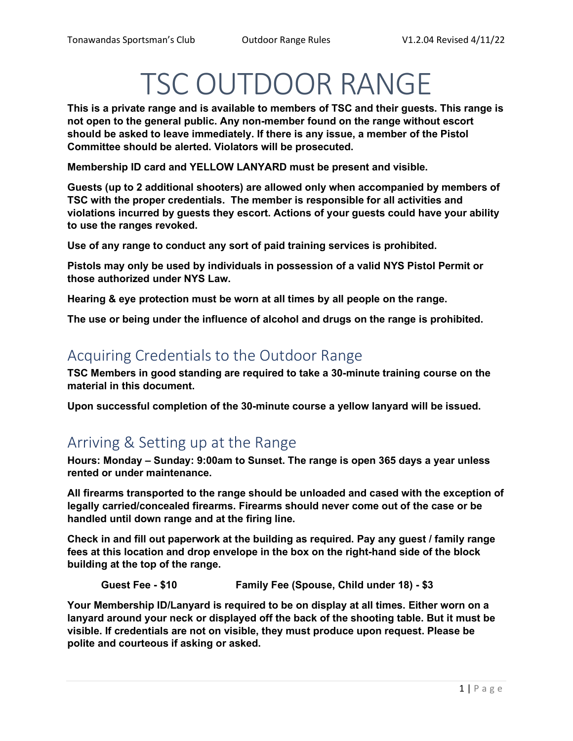# TSC OUTDOOR RANGE

This is a private range and is available to members of TSC and their guests. This range is not open to the general public. Any non-member found on the range without escort should be asked to leave immediately. If there is any issue, a member of the Pistol Committee should be alerted. Violators will be prosecuted.

Membership ID card and YELLOW LANYARD must be present and visible.

Guests (up to 2 additional shooters) are allowed only when accompanied by members of TSC with the proper credentials. The member is responsible for all activities and violations incurred by guests they escort. Actions of your guests could have your ability to use the ranges revoked.

Use of any range to conduct any sort of paid training services is prohibited.

Pistols may only be used by individuals in possession of a valid NYS Pistol Permit or those authorized under NYS Law.

Hearing & eye protection must be worn at all times by all people on the range.

The use or being under the influence of alcohol and drugs on the range is prohibited.

## Acquiring Credentials to the Outdoor Range

TSC Members in good standing are required to take a 30-minute training course on the material in this document.

Upon successful completion of the 30-minute course a yellow lanyard will be issued.

## Arriving & Setting up at the Range

Hours: Monday – Sunday: 9:00am to Sunset. The range is open 365 days a year unless rented or under maintenance.

All firearms transported to the range should be unloaded and cased with the exception of legally carried/concealed firearms. Firearms should never come out of the case or be handled until down range and at the firing line.

Check in and fill out paperwork at the building as required. Pay any guest / family range fees at this location and drop envelope in the box on the right-hand side of the block building at the top of the range.

Guest Fee - \$10 Family Fee (Spouse, Child under 18) - \$3

Your Membership ID/Lanyard is required to be on display at all times. Either worn on a lanyard around your neck or displayed off the back of the shooting table. But it must be visible. If credentials are not on visible, they must produce upon request. Please be polite and courteous if asking or asked.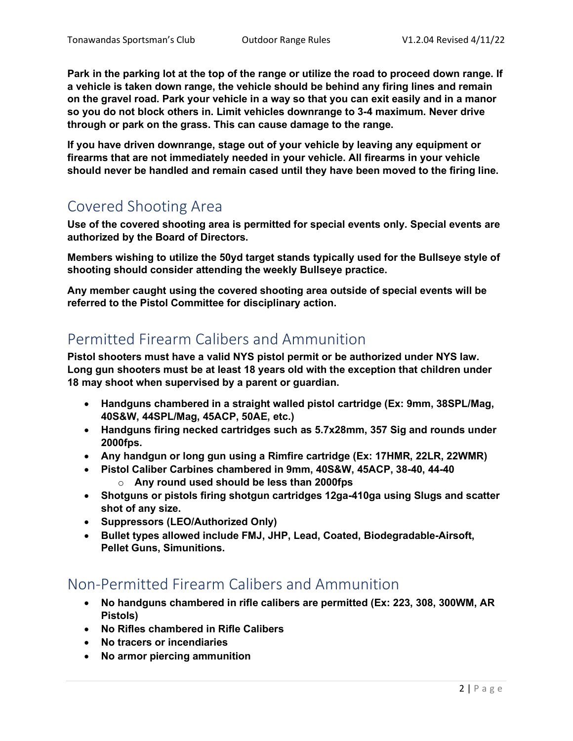Park in the parking lot at the top of the range or utilize the road to proceed down range. If a vehicle is taken down range, the vehicle should be behind any firing lines and remain on the gravel road. Park your vehicle in a way so that you can exit easily and in a manor so you do not block others in. Limit vehicles downrange to 3-4 maximum. Never drive through or park on the grass. This can cause damage to the range.

If you have driven downrange, stage out of your vehicle by leaving any equipment or firearms that are not immediately needed in your vehicle. All firearms in your vehicle should never be handled and remain cased until they have been moved to the firing line.

## Covered Shooting Area

Use of the covered shooting area is permitted for special events only. Special events are authorized by the Board of Directors.

Members wishing to utilize the 50yd target stands typically used for the Bullseye style of shooting should consider attending the weekly Bullseye practice.

Any member caught using the covered shooting area outside of special events will be referred to the Pistol Committee for disciplinary action.

## Permitted Firearm Calibers and Ammunition

Pistol shooters must have a valid NYS pistol permit or be authorized under NYS law. Long gun shooters must be at least 18 years old with the exception that children under 18 may shoot when supervised by a parent or guardian.

- Handguns chambered in a straight walled pistol cartridge (Ex: 9mm, 38SPL/Mag, 40S&W, 44SPL/Mag, 45ACP, 50AE, etc.)
- Handguns firing necked cartridges such as 5.7x28mm, 357 Sig and rounds under 2000fps.
- Any handgun or long gun using a Rimfire cartridge (Ex: 17HMR, 22LR, 22WMR)
- Pistol Caliber Carbines chambered in 9mm, 40S&W, 45ACP, 38-40, 44-40  $\circ$  Any round used should be less than 2000fps
- Shotguns or pistols firing shotgun cartridges 12ga-410ga using Slugs and scatter shot of any size.
- Suppressors (LEO/Authorized Only)
- Bullet types allowed include FMJ, JHP, Lead, Coated, Biodegradable-Airsoft, Pellet Guns, Simunitions.

## Non-Permitted Firearm Calibers and Ammunition

- No handguns chambered in rifle calibers are permitted (Ex: 223, 308, 300WM, AR Pistols)
- No Rifles chambered in Rifle Calibers
- No tracers or incendiaries
- No armor piercing ammunition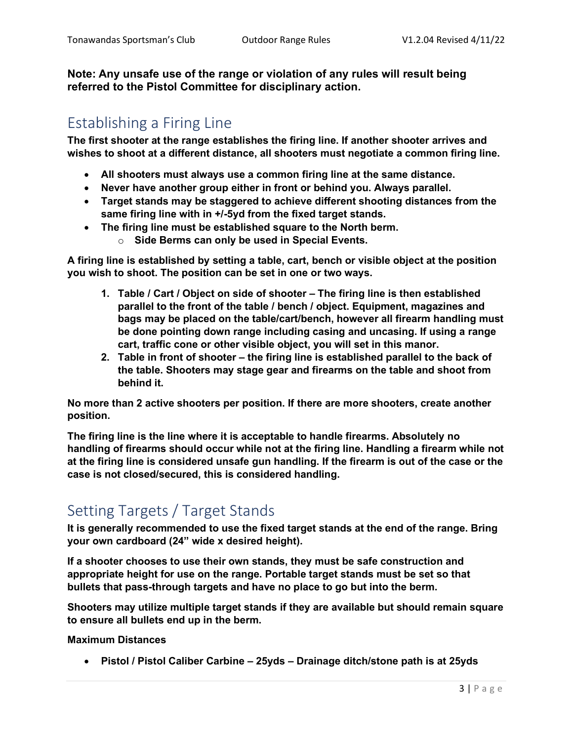Note: Any unsafe use of the range or violation of any rules will result being referred to the Pistol Committee for disciplinary action.

## Establishing a Firing Line

The first shooter at the range establishes the firing line. If another shooter arrives and wishes to shoot at a different distance, all shooters must negotiate a common firing line.

- All shooters must always use a common firing line at the same distance.
- Never have another group either in front or behind you. Always parallel.
- Target stands may be staggered to achieve different shooting distances from the same firing line with in  $+/-5y$ d from the fixed target stands.
- The firing line must be established square to the North berm.
	- $\circ$  Side Berms can only be used in Special Events.

A firing line is established by setting a table, cart, bench or visible object at the position you wish to shoot. The position can be set in one or two ways.

- 1. Table / Cart / Object on side of shooter The firing line is then established parallel to the front of the table / bench / object. Equipment, magazines and bags may be placed on the table/cart/bench, however all firearm handling must be done pointing down range including casing and uncasing. If using a range cart, traffic cone or other visible object, you will set in this manor.
- 2. Table in front of shooter the firing line is established parallel to the back of the table. Shooters may stage gear and firearms on the table and shoot from behind it.

No more than 2 active shooters per position. If there are more shooters, create another position.

The firing line is the line where it is acceptable to handle firearms. Absolutely no handling of firearms should occur while not at the firing line. Handling a firearm while not at the firing line is considered unsafe gun handling. If the firearm is out of the case or the case is not closed/secured, this is considered handling.

# Setting Targets / Target Stands

It is generally recommended to use the fixed target stands at the end of the range. Bring your own cardboard (24" wide x desired height).

If a shooter chooses to use their own stands, they must be safe construction and appropriate height for use on the range. Portable target stands must be set so that bullets that pass-through targets and have no place to go but into the berm.

Shooters may utilize multiple target stands if they are available but should remain square to ensure all bullets end up in the berm.

Maximum Distances

Pistol / Pistol Caliber Carbine – 25yds – Drainage ditch/stone path is at 25yds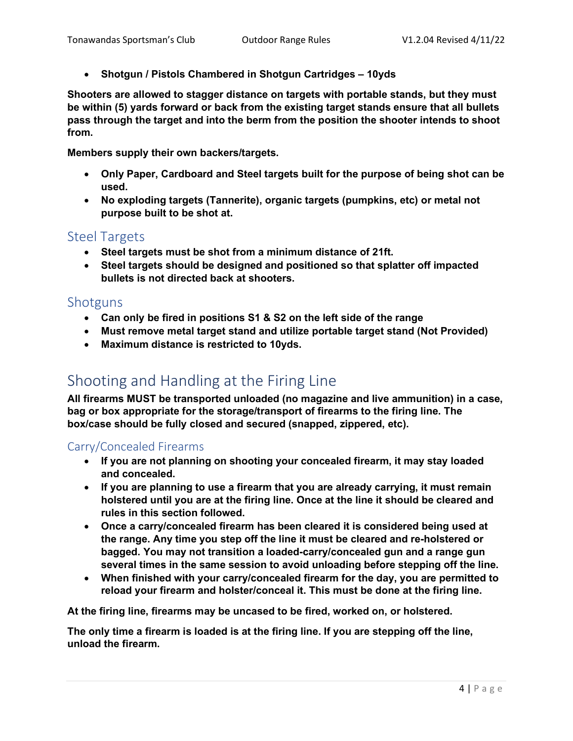Shotgun / Pistols Chambered in Shotgun Cartridges – 10yds

Shooters are allowed to stagger distance on targets with portable stands, but they must be within (5) yards forward or back from the existing target stands ensure that all bullets pass through the target and into the berm from the position the shooter intends to shoot from.

Members supply their own backers/targets.

- Only Paper, Cardboard and Steel targets built for the purpose of being shot can be used.
- No exploding targets (Tannerite), organic targets (pumpkins, etc) or metal not purpose built to be shot at.

#### Steel Targets

- Steel targets must be shot from a minimum distance of 21ft.
- Steel targets should be designed and positioned so that splatter off impacted bullets is not directed back at shooters.

#### **Shotguns**

- Can only be fired in positions S1 & S2 on the left side of the range
- Must remove metal target stand and utilize portable target stand (Not Provided)
- Maximum distance is restricted to 10yds.

## Shooting and Handling at the Firing Line

All firearms MUST be transported unloaded (no magazine and live ammunition) in a case, bag or box appropriate for the storage/transport of firearms to the firing line. The box/case should be fully closed and secured (snapped, zippered, etc).

#### Carry/Concealed Firearms

- If you are not planning on shooting your concealed firearm, it may stay loaded and concealed.
- If you are planning to use a firearm that you are already carrying, it must remain holstered until you are at the firing line. Once at the line it should be cleared and rules in this section followed.
- Once a carry/concealed firearm has been cleared it is considered being used at the range. Any time you step off the line it must be cleared and re-holstered or bagged. You may not transition a loaded-carry/concealed gun and a range gun several times in the same session to avoid unloading before stepping off the line.
- When finished with your carry/concealed firearm for the day, you are permitted to reload your firearm and holster/conceal it. This must be done at the firing line.

At the firing line, firearms may be uncased to be fired, worked on, or holstered.

The only time a firearm is loaded is at the firing line. If you are stepping off the line, unload the firearm.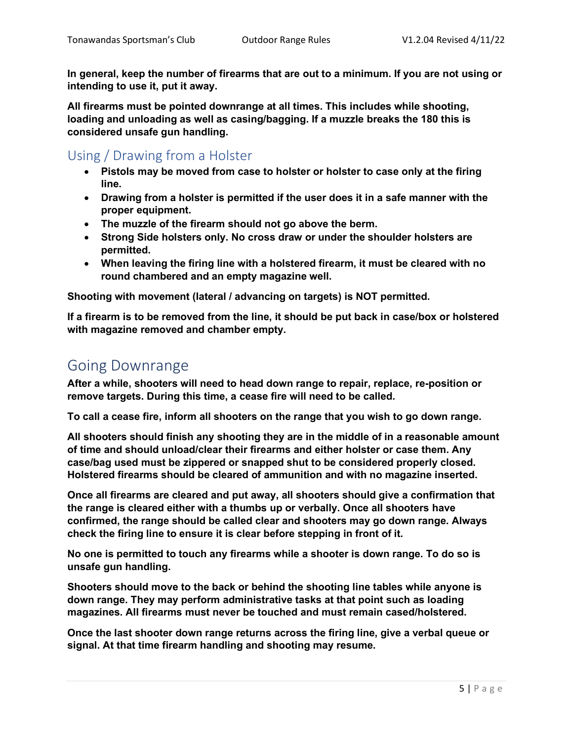In general, keep the number of firearms that are out to a minimum. If you are not using or intending to use it, put it away.

All firearms must be pointed downrange at all times. This includes while shooting, loading and unloading as well as casing/bagging. If a muzzle breaks the 180 this is considered unsafe gun handling.

Using / Drawing from a Holster

- Pistols may be moved from case to holster or holster to case only at the firing line.
- Drawing from a holster is permitted if the user does it in a safe manner with the proper equipment.
- The muzzle of the firearm should not go above the berm.
- Strong Side holsters only. No cross draw or under the shoulder holsters are permitted.
- When leaving the firing line with a holstered firearm, it must be cleared with no round chambered and an empty magazine well.

Shooting with movement (lateral / advancing on targets) is NOT permitted.

If a firearm is to be removed from the line, it should be put back in case/box or holstered with magazine removed and chamber empty.

## Going Downrange

After a while, shooters will need to head down range to repair, replace, re-position or remove targets. During this time, a cease fire will need to be called.

To call a cease fire, inform all shooters on the range that you wish to go down range.

All shooters should finish any shooting they are in the middle of in a reasonable amount of time and should unload/clear their firearms and either holster or case them. Any case/bag used must be zippered or snapped shut to be considered properly closed. Holstered firearms should be cleared of ammunition and with no magazine inserted.

Once all firearms are cleared and put away, all shooters should give a confirmation that the range is cleared either with a thumbs up or verbally. Once all shooters have confirmed, the range should be called clear and shooters may go down range. Always check the firing line to ensure it is clear before stepping in front of it.

No one is permitted to touch any firearms while a shooter is down range. To do so is unsafe gun handling.

Shooters should move to the back or behind the shooting line tables while anyone is down range. They may perform administrative tasks at that point such as loading magazines. All firearms must never be touched and must remain cased/holstered.

Once the last shooter down range returns across the firing line, give a verbal queue or signal. At that time firearm handling and shooting may resume.